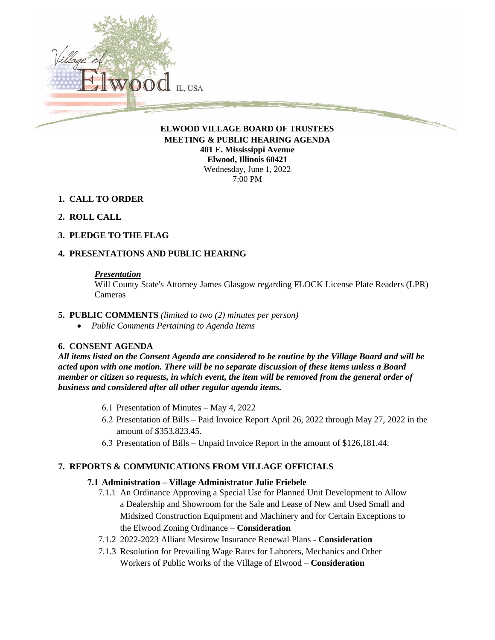

**MEETING & PUBLIC HEARING AGENDA 401 E. Mississippi Avenue Elwood, Illinois 60421** Wednesday, June 1, 2022 7:00 PM

- **1. CALL TO ORDER**
- **2. ROLL CALL**
- **3. PLEDGE TO THE FLAG**

# **4. PRESENTATIONS AND PUBLIC HEARING**

#### *Presentation*

Will County State's Attorney James Glasgow regarding FLOCK License Plate Readers (LPR) Cameras

- **5. PUBLIC COMMENTS** *(limited to two (2) minutes per person)*
	- *Public Comments Pertaining to Agenda Items*

#### **6. CONSENT AGENDA**

*All items listed on the Consent Agenda are considered to be routine by the Village Board and will be acted upon with one motion. There will be no separate discussion of these items unless a Board member or citizen so requests, in which event, the item will be removed from the general order of business and considered after all other regular agenda items.*

- 6.1 Presentation of Minutes May 4, 2022
- 6.2 Presentation of Bills Paid Invoice Report April 26, 2022 through May 27, 2022 in the amount of \$353,823.45.
- 6.3 Presentation of Bills Unpaid Invoice Report in the amount of \$126,181.44.

#### **7. REPORTS & COMMUNICATIONS FROM VILLAGE OFFICIALS**

#### **7.1 Administration – Village Administrator Julie Friebele**

- 7.1.1 An Ordinance Approving a Special Use for Planned Unit Development to Allow a Dealership and Showroom for the Sale and Lease of New and Used Small and Midsized Construction Equipment and Machinery and for Certain Exceptions to the Elwood Zoning Ordinance – **Consideration**
- 7.1.2 2022-2023 Alliant Mesirow Insurance Renewal Plans **Consideration**
- 7.1.3 Resolution for Prevailing Wage Rates for Laborers, Mechanics and Other Workers of Public Works of the Village of Elwood – **Consideration**